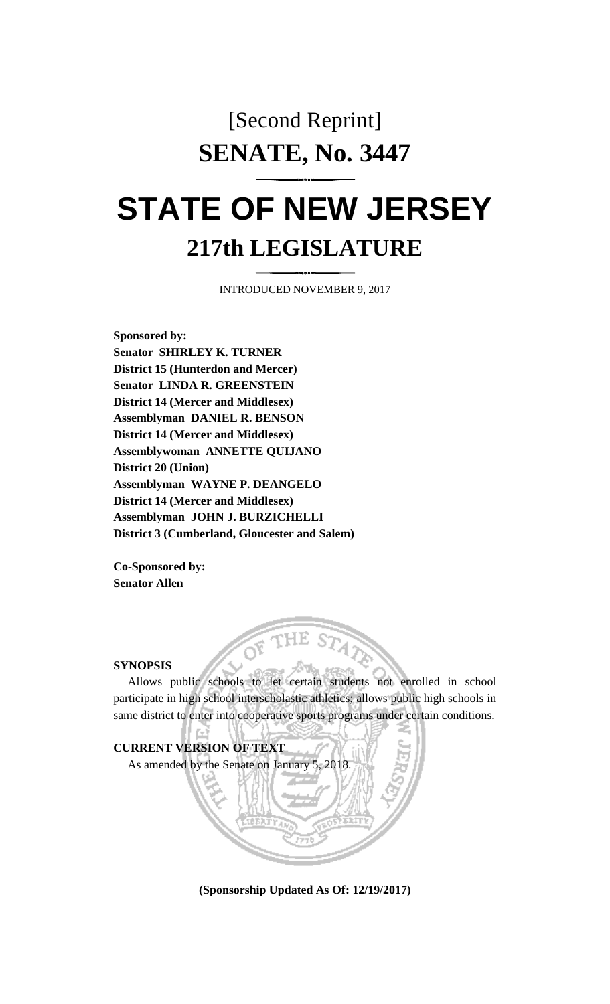## [Second Reprint] **SENATE, No. 3447**

# **STATE OF NEW JERSEY 217th LEGISLATURE**

INTRODUCED NOVEMBER 9, 2017

**Sponsored by: Senator SHIRLEY K. TURNER District 15 (Hunterdon and Mercer) Senator LINDA R. GREENSTEIN District 14 (Mercer and Middlesex) Assemblyman DANIEL R. BENSON District 14 (Mercer and Middlesex) Assemblywoman ANNETTE QUIJANO District 20 (Union) Assemblyman WAYNE P. DEANGELO District 14 (Mercer and Middlesex) Assemblyman JOHN J. BURZICHELLI District 3 (Cumberland, Gloucester and Salem)**

**Co-Sponsored by: Senator Allen**

#### **SYNOPSIS**

Allows public schools to let certain students not enrolled in school participate in high school interscholastic athletics; allows public high schools in same district to enter into cooperative sports programs under certain conditions.



**(Sponsorship Updated As Of: 12/19/2017)**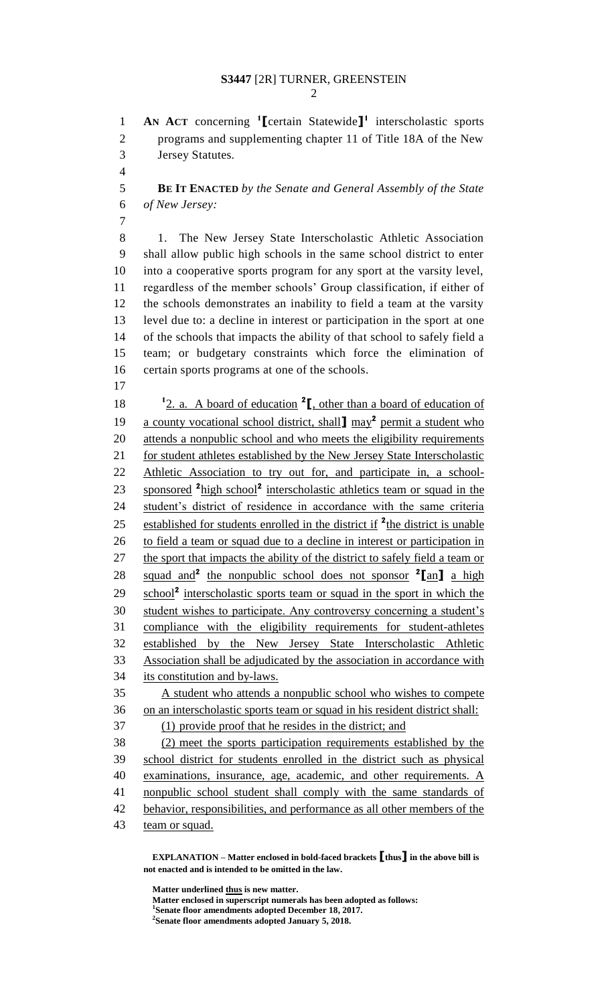### **S3447** [2R] TURNER, GREENSTEIN

**AN ACT** concerning **<sup>1</sup> [**certain Statewide**] 1** interscholastic sports programs and supplementing chapter 11 of Title 18A of the New Jersey Statutes. 

 **BE IT ENACTED** *by the Senate and General Assembly of the State of New Jersey:*

8 1. The New Jersey State Interscholastic Athletic Association shall allow public high schools in the same school district to enter into a cooperative sports program for any sport at the varsity level, regardless of the member schools' Group classification, if either of the schools demonstrates an inability to field a team at the varsity level due to: a decline in interest or participation in the sport at one of the schools that impacts the ability of that school to safely field a team; or budgetary constraints which force the elimination of certain sports programs at one of the schools.

18 <sup>1</sup>2. a. A board of education <sup>2</sup>, other than a board of education of 19 a county vocational school district, shall may<sup>2</sup> permit a student who attends a nonpublic school and who meets the eligibility requirements 21 for student athletes established by the New Jersey State Interscholastic Athletic Association to try out for, and participate in, a school-23 sponsored <sup>2</sup> high school<sup>2</sup> interscholastic athletics team or squad in the student's district of residence in accordance with the same criteria 25 established for students enrolled in the district if <sup>2</sup>the district is unable to field a team or squad due to a decline in interest or participation in the sport that impacts the ability of the district to safely field a team or squad and**<sup>2</sup>** the nonpublic school does not sponsor **<sup>2</sup> [**an**]** a high 29 school<sup>2</sup> interscholastic sports team or squad in the sport in which the student wishes to participate. Any controversy concerning a student's compliance with the eligibility requirements for student-athletes established by the New Jersey State Interscholastic Athletic Association shall be adjudicated by the association in accordance with its constitution and by-laws. A student who attends a nonpublic school who wishes to compete on an interscholastic sports team or squad in his resident district shall: (1) provide proof that he resides in the district; and

 (2) meet the sports participation requirements established by the school district for students enrolled in the district such as physical examinations, insurance, age, academic, and other requirements. A nonpublic school student shall comply with the same standards of behavior, responsibilities, and performance as all other members of the

43 team or squad.

**EXPLANATION – Matter enclosed in bold-faced brackets [thus] in the above bill is not enacted and is intended to be omitted in the law.**

**Matter underlined thus is new matter.**

**Matter enclosed in superscript numerals has been adopted as follows: Senate floor amendments adopted December 18, 2017.**

**Senate floor amendments adopted January 5, 2018.**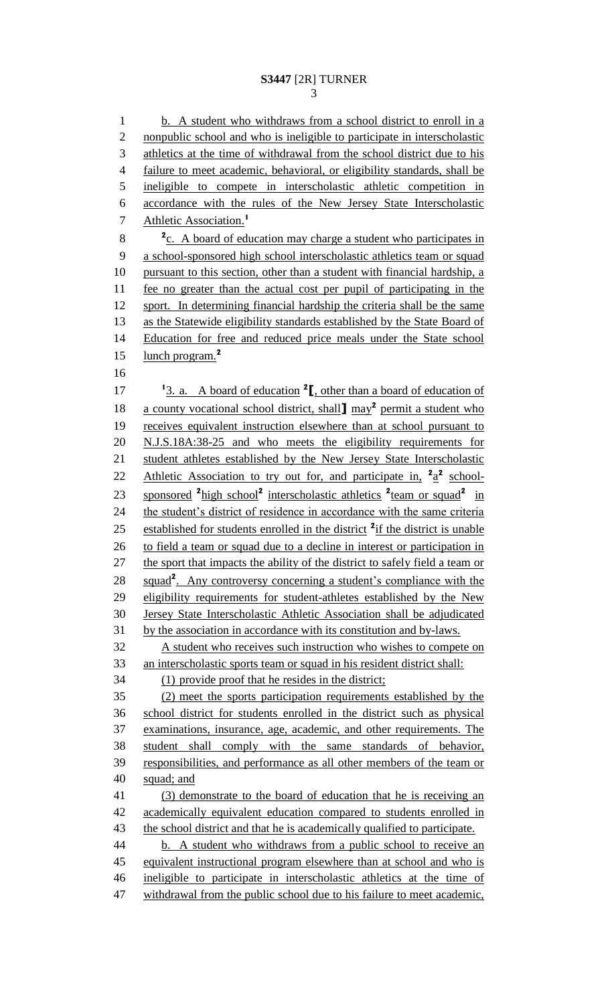1 b. A student who withdraws from a school district to enroll in a 2 nonpublic school and who is ineligible to participate in interscholastic athletics at the time of withdrawal from the school district due to his 4 failure to meet academic, behavioral, or eligibility standards, shall be ineligible to compete in interscholastic athletic competition in accordance with the rules of the New Jersey State Interscholastic Athletic Association.**<sup>1</sup>** <sup>2</sup> **2 2 2 E A** board of education may charge a student who participates in a school-sponsored high school interscholastic athletics team or squad pursuant to this section, other than a student with financial hardship, a fee no greater than the actual cost per pupil of participating in the sport. In determining financial hardship the criteria shall be the same as the Statewide eligibility standards established by the State Board of Education for free and reduced price meals under the State school lunch program.**<sup>2</sup>** 17 <sup>1</sup>3. a. A board of education <sup>2</sup><sub>L</sub>, other than a board of education of 18 a county vocational school district, shall may<sup>2</sup> permit a student who receives equivalent instruction elsewhere than at school pursuant to N.J.S.18A:38-25 and who meets the eligibility requirements for 21 student athletes established by the New Jersey State Interscholastic 22 Athletic Association to try out for, and participate in,  $a^2 \hat{a}^2$  school-23 sponsored <sup>2</sup> high school<sup>2</sup> interscholastic athletics <sup>2</sup> team or squad<sup>2</sup> in 24 the student's district of residence in accordance with the same criteria 25 established for students enrolled in the district <sup>2</sup> if the district is unable 26 to field a team or squad due to a decline in interest or participation in 27 the sport that impacts the ability of the district to safely field a team or 28 squad<sup>2</sup>. Any controversy concerning a student's compliance with the eligibility requirements for student-athletes established by the New Jersey State Interscholastic Athletic Association shall be adjudicated by the association in accordance with its constitution and by-laws. A student who receives such instruction who wishes to compete on an interscholastic sports team or squad in his resident district shall: (1) provide proof that he resides in the district; (2) meet the sports participation requirements established by the school district for students enrolled in the district such as physical examinations, insurance, age, academic, and other requirements. The student shall comply with the same standards of behavior, responsibilities, and performance as all other members of the team or squad; and (3) demonstrate to the board of education that he is receiving an academically equivalent education compared to students enrolled in 43 the school district and that he is academically qualified to participate. 44 b. A student who withdraws from a public school to receive an equivalent instructional program elsewhere than at school and who is ineligible to participate in interscholastic athletics at the time of 47 withdrawal from the public school due to his failure to meet academic,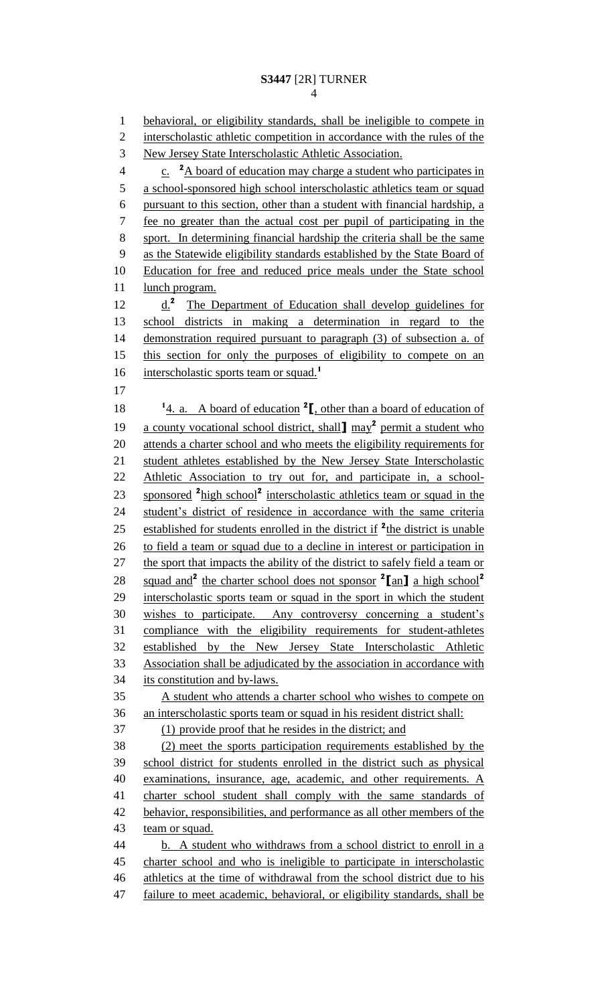1 behavioral, or eligibility standards, shall be ineligible to compete in 2 interscholastic athletic competition in accordance with the rules of the New Jersey State Interscholastic Athletic Association. <sup>2</sup> A board of education may charge a student who participates in a school-sponsored high school interscholastic athletics team or squad pursuant to this section, other than a student with financial hardship, a fee no greater than the actual cost per pupil of participating in the sport. In determining financial hardship the criteria shall be the same as the Statewide eligibility standards established by the State Board of Education for free and reduced price meals under the State school lunch program. 12 d.<sup>2</sup> The Department of Education shall develop guidelines for school districts in making a determination in regard to the demonstration required pursuant to paragraph (3) of subsection a. of this section for only the purposes of eligibility to compete on an interscholastic sports team or squad.**<sup>1</sup>**  $\frac{1}{4}$  a. A board of education  $\binom{2}{1}$ , other than a board of education of 19 a county vocational school district, shall may<sup>2</sup> permit a student who attends a charter school and who meets the eligibility requirements for student athletes established by the New Jersey State Interscholastic Athletic Association to try out for, and participate in, a school-23 sponsored <sup>2</sup> high school<sup>2</sup> interscholastic athletics team or squad in the student's district of residence in accordance with the same criteria 25 established for students enrolled in the district if <sup>2</sup>the district is unable to field a team or squad due to a decline in interest or participation in 27 the sport that impacts the ability of the district to safely field a team or squad and**<sup>2</sup>** the charter school does not sponsor **<sup>2</sup> [**an**]** a high school**<sup>2</sup>** interscholastic sports team or squad in the sport in which the student wishes to participate. Any controversy concerning a student's compliance with the eligibility requirements for student-athletes established by the New Jersey State Interscholastic Athletic Association shall be adjudicated by the association in accordance with its constitution and by-laws. A student who attends a charter school who wishes to compete on an interscholastic sports team or squad in his resident district shall: (1) provide proof that he resides in the district; and (2) meet the sports participation requirements established by the school district for students enrolled in the district such as physical examinations, insurance, age, academic, and other requirements. A charter school student shall comply with the same standards of 42 behavior, responsibilities, and performance as all other members of the 43 team or squad. 44 b. A student who withdraws from a school district to enroll in a charter school and who is ineligible to participate in interscholastic athletics at the time of withdrawal from the school district due to his 47 failure to meet academic, behavioral, or eligibility standards, shall be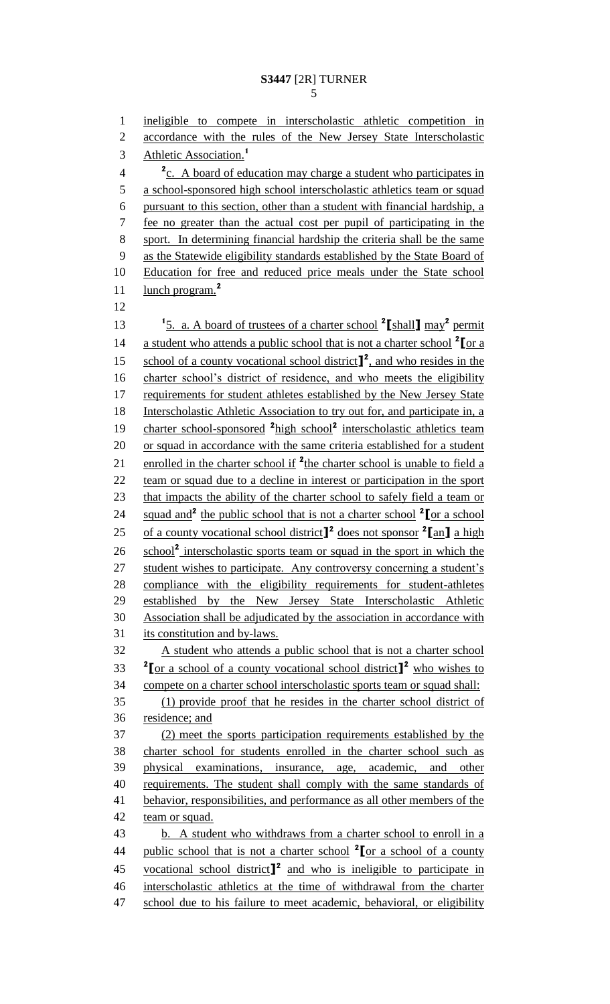1 ineligible to compete in interscholastic athletic competition in 2 accordance with the rules of the New Jersey State Interscholastic Athletic Association.**<sup>1</sup>** 3 <sup>2</sup> c. A board of education may charge a student who participates in 5 a school-sponsored high school interscholastic athletics team or squad 6 pursuant to this section, other than a student with financial hardship, a 7 fee no greater than the actual cost per pupil of participating in the 8 sport. In determining financial hardship the criteria shall be the same 9 as the Statewide eligibility standards established by the State Board of 10 Education for free and reduced price meals under the State school lunch program.**<sup>2</sup>** 11 12 13 <sup>1</sup> <sup>1</sup> <sup>1</sup> <sup>1</sup> <sup>1</sup> **5.** a. A board of trustees of a charter school <sup>2</sup> [shall ] may<sup>2</sup> permit 14 **a** student who attends a public school that is not a charter school <sup>2</sup> [or a 15 school of a county vocational school district<sup>1</sup>, and who resides in the 16 charter school's district of residence, and who meets the eligibility 17 requirements for student athletes established by the New Jersey State 18 Interscholastic Athletic Association to try out for, and participate in, a 19 charter school-sponsored <sup>2</sup> high school<sup>2</sup> interscholastic athletics team 20 or squad in accordance with the same criteria established for a student 21 enrolled in the charter school if <sup>2</sup>the charter school is unable to field a 22 team or squad due to a decline in interest or participation in the sport 23 that impacts the ability of the charter school to safely field a team or 24 squad and<sup>2</sup> the public school that is not a charter school <sup>2</sup> [or a school 25 of a county vocational school district<sup>1</sup> does not sponsor<sup>2</sup> [an] a high 26 school<sup>2</sup> interscholastic sports team or squad in the sport in which the 27 student wishes to participate. Any controversy concerning a student's 28 compliance with the eligibility requirements for student-athletes 29 established by the New Jersey State Interscholastic Athletic 30 Association shall be adjudicated by the association in accordance with 31 its constitution and by-laws. 32 A student who attends a public school that is not a charter school **2I** or a school of a county vocational school district **]**<sup>2</sup> who wishes to 34 compete on a charter school interscholastic sports team or squad shall: 35 (1) provide proof that he resides in the charter school district of 36 residence; and 37 (2) meet the sports participation requirements established by the 38 charter school for students enrolled in the charter school such as 39 physical examinations, insurance, age, academic, and other 40 requirements. The student shall comply with the same standards of 41 behavior, responsibilities, and performance as all other members of the 42 team or squad. 43 b. A student who withdraws from a charter school to enroll in a public school that is not a charter school **<sup>2</sup>** 44 **[**or a school of a county 45 vocational school district<sup>2</sup> and who is ineligible to participate in 46 interscholastic athletics at the time of withdrawal from the charter 47 school due to his failure to meet academic, behavioral, or eligibility